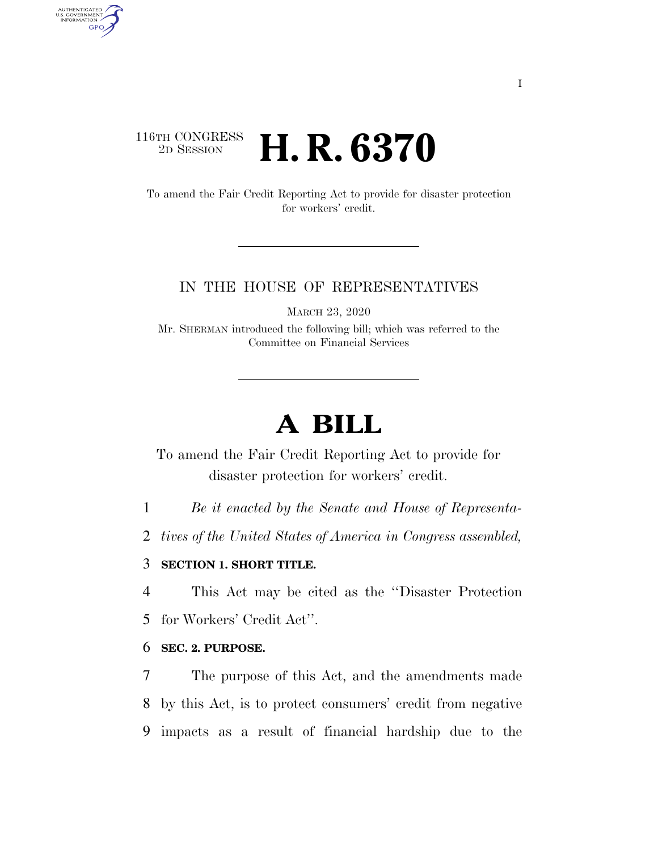## 116TH CONGRESS <sup>2D SESSION</sup> **H. R. 6370**

AUTHENTICATED<br>U.S. GOVERNMENT<br>INFORMATION

**GPO** 

To amend the Fair Credit Reporting Act to provide for disaster protection for workers' credit.

#### IN THE HOUSE OF REPRESENTATIVES

MARCH 23, 2020

Mr. SHERMAN introduced the following bill; which was referred to the Committee on Financial Services

# **A BILL**

To amend the Fair Credit Reporting Act to provide for disaster protection for workers' credit.

1 *Be it enacted by the Senate and House of Representa-*

2 *tives of the United States of America in Congress assembled,* 

### 3 **SECTION 1. SHORT TITLE.**

4 This Act may be cited as the ''Disaster Protection

5 for Workers' Credit Act''.

#### 6 **SEC. 2. PURPOSE.**

7 The purpose of this Act, and the amendments made 8 by this Act, is to protect consumers' credit from negative 9 impacts as a result of financial hardship due to the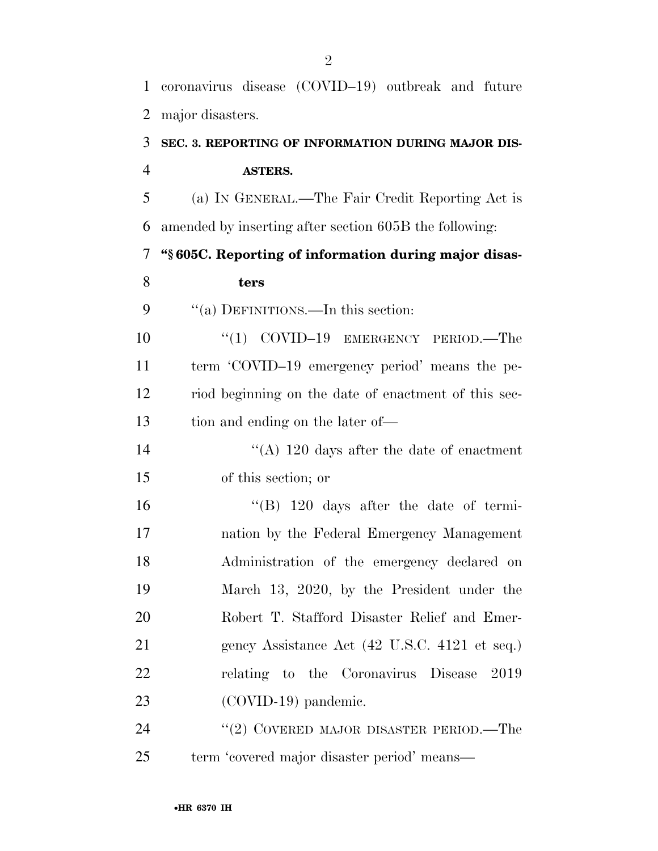coronavirus disease (COVID–19) outbreak and future major disasters.

# **SEC. 3. REPORTING OF INFORMATION DURING MAJOR DIS-ASTERS.**

 (a) IN GENERAL.—The Fair Credit Reporting Act is amended by inserting after section 605B the following:

**''§ 605C. Reporting of information during major disas-**

### **ters**

### 9 "(a) DEFINITIONS.—In this section:

10 "(1) COVID-19 EMERGENCY PERIOD.—The term 'COVID–19 emergency period' means the pe- riod beginning on the date of enactment of this sec-tion and ending on the later of—

14 ''(A) 120 days after the date of enactment of this section; or

 ''(B) 120 days after the date of termi- nation by the Federal Emergency Management Administration of the emergency declared on March 13, 2020, by the President under the Robert T. Stafford Disaster Relief and Emer-21 gency Assistance Act (42 U.S.C. 4121 et seq.) relating to the Coronavirus Disease 2019 23 (COVID-19) pandemic.

24 ''(2) COVERED MAJOR DISASTER PERIOD.—The term 'covered major disaster period' means—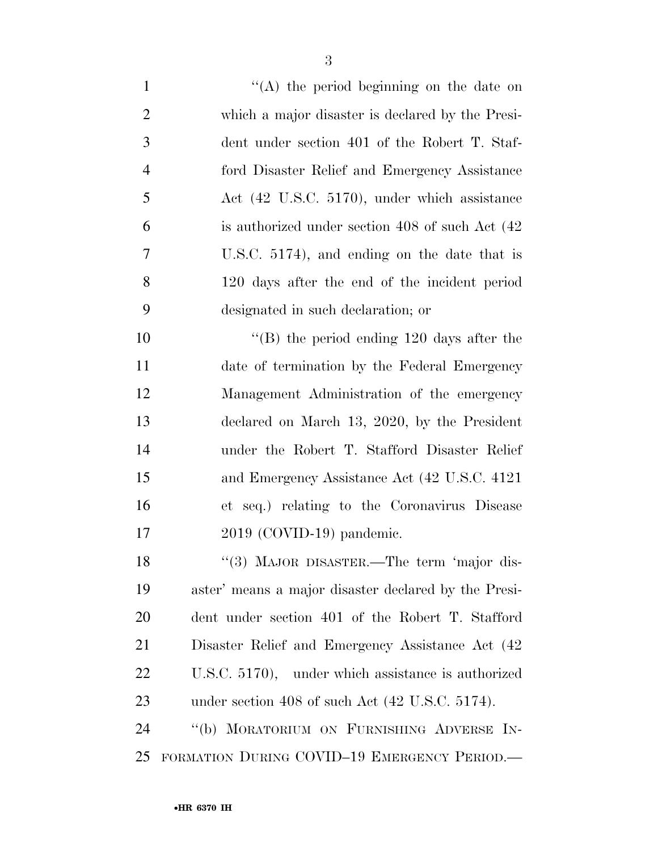1 ''(A) the period beginning on the date on which a major disaster is declared by the Presi- dent under section 401 of the Robert T. Staf- ford Disaster Relief and Emergency Assistance Act (42 U.S.C. 5170), under which assistance is authorized under section 408 of such Act (42 U.S.C. 5174), and ending on the date that is 120 days after the end of the incident period designated in such declaration; or ''(B) the period ending 120 days after the

 date of termination by the Federal Emergency Management Administration of the emergency declared on March 13, 2020, by the President under the Robert T. Stafford Disaster Relief and Emergency Assistance Act (42 U.S.C. 4121 et seq.) relating to the Coronavirus Disease 2019 (COVID-19) pandemic.

18 "(3) MAJOR DISASTER.—The term 'major dis- aster' means a major disaster declared by the Presi- dent under section 401 of the Robert T. Stafford Disaster Relief and Emergency Assistance Act (42 U.S.C. 5170), under which assistance is authorized under section 408 of such Act (42 U.S.C. 5174).

 ''(b) MORATORIUM ON FURNISHING ADVERSE IN-FORMATION DURING COVID–19 EMERGENCY PERIOD.—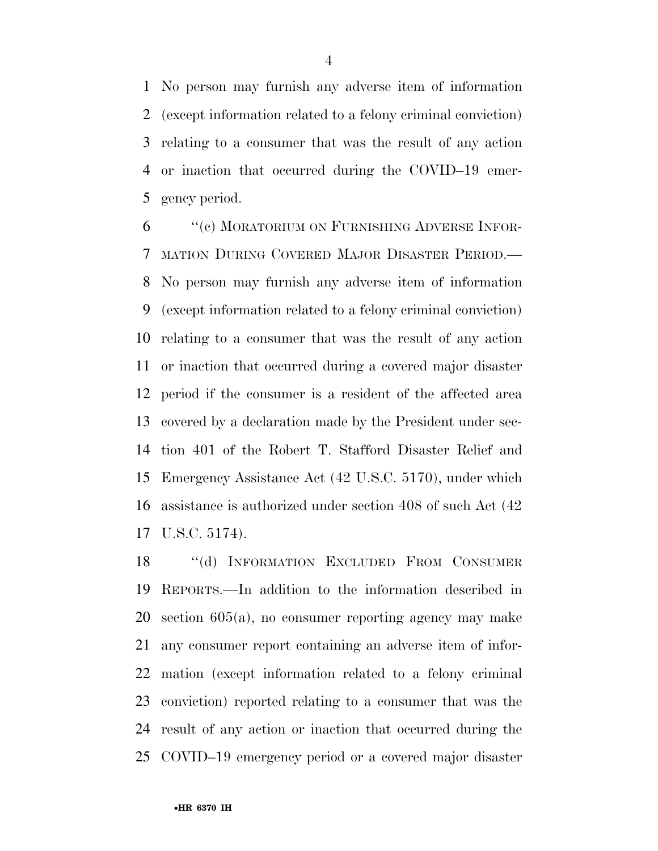No person may furnish any adverse item of information (except information related to a felony criminal conviction) relating to a consumer that was the result of any action or inaction that occurred during the COVID–19 emer-gency period.

 ''(c) MORATORIUM ON FURNISHING ADVERSE INFOR- MATION DURING COVERED MAJOR DISASTER PERIOD.— No person may furnish any adverse item of information (except information related to a felony criminal conviction) relating to a consumer that was the result of any action or inaction that occurred during a covered major disaster period if the consumer is a resident of the affected area covered by a declaration made by the President under sec- tion 401 of the Robert T. Stafford Disaster Relief and Emergency Assistance Act (42 U.S.C. 5170), under which assistance is authorized under section 408 of such Act (42 U.S.C. 5174).

 ''(d) INFORMATION EXCLUDED FROM CONSUMER REPORTS.—In addition to the information described in section 605(a), no consumer reporting agency may make any consumer report containing an adverse item of infor- mation (except information related to a felony criminal conviction) reported relating to a consumer that was the result of any action or inaction that occurred during the COVID–19 emergency period or a covered major disaster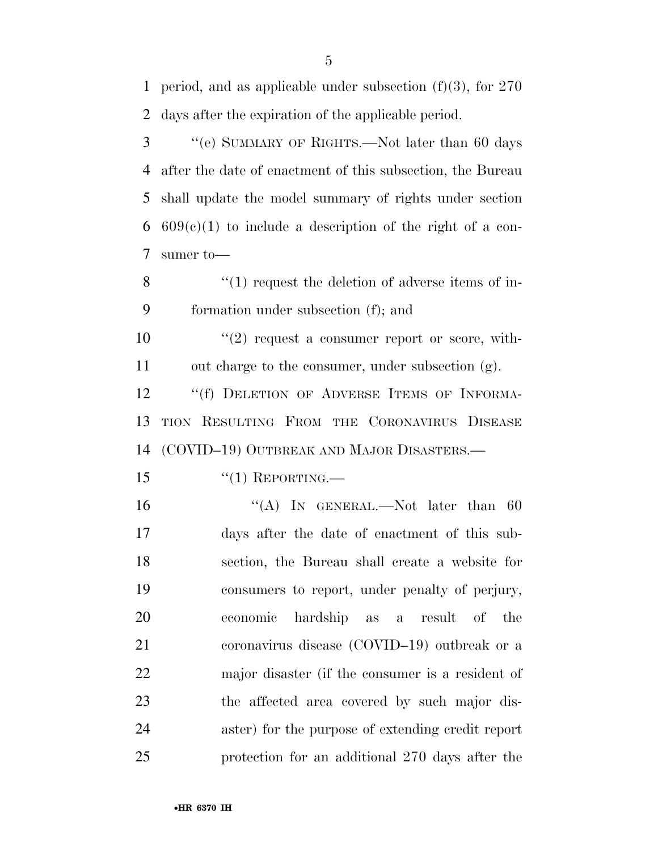period, and as applicable under subsection (f)(3), for 270 days after the expiration of the applicable period.

 ''(e) SUMMARY OF RIGHTS.—Not later than 60 days after the date of enactment of this subsection, the Bureau shall update the model summary of rights under section  $609(c)(1)$  to include a description of the right of a con-sumer to—

8 ''(1) request the deletion of adverse items of in-formation under subsection (f); and

 ''(2) request a consumer report or score, with-out charge to the consumer, under subsection (g).

12 "(f) DELETION OF ADVERSE ITEMS OF INFORMA- TION RESULTING FROM THE CORONAVIRUS DISEASE (COVID–19) OUTBREAK AND MAJOR DISASTERS.—

''(1) REPORTING.—

16 "(A) In GENERAL.—Not later than 60 days after the date of enactment of this sub- section, the Bureau shall create a website for consumers to report, under penalty of perjury, economic hardship as a result of the coronavirus disease (COVID–19) outbreak or a major disaster (if the consumer is a resident of the affected area covered by such major dis- aster) for the purpose of extending credit report protection for an additional 270 days after the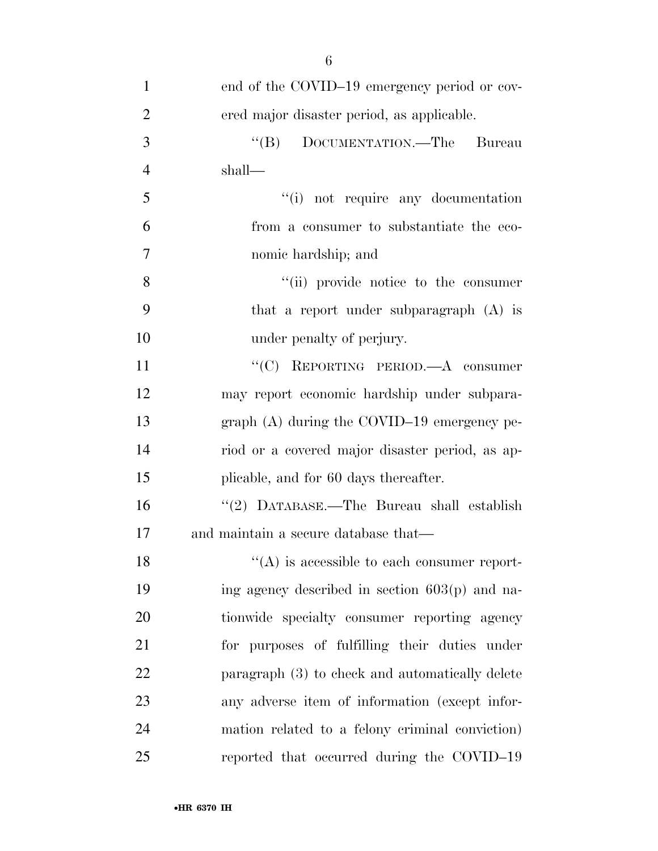| $\mathbf{1}$   | end of the COVID-19 emergency period or cov-    |
|----------------|-------------------------------------------------|
| $\overline{2}$ | ered major disaster period, as applicable.      |
| 3              | "(B) DOCUMENTATION.—The Bureau                  |
| $\overline{4}$ | shall—                                          |
| 5              | "(i) not require any documentation              |
| 6              | from a consumer to substantiate the eco-        |
| $\overline{7}$ | nomic hardship; and                             |
| 8              | "(ii) provide notice to the consumer            |
| 9              | that a report under subparagraph (A) is         |
| 10             | under penalty of perjury.                       |
| 11             | "(C) REPORTING PERIOD.—A consumer               |
| 12             | may report economic hardship under subpara-     |
| 13             | graph $(A)$ during the COVID-19 emergency pe-   |
| 14             | riod or a covered major disaster period, as ap- |
| 15             | plicable, and for 60 days thereafter.           |
| 16             | "(2) DATABASE.—The Bureau shall establish       |
| 17             | and maintain a secure database that—            |
| 18             | $\lq\lq$ is accessible to each consumer report- |
| 19             | ing agency described in section 603(p) and na-  |
| 20             | tionwide specialty consumer reporting agency    |
| 21             | for purposes of fulfilling their duties under   |
| 22             | paragraph (3) to check and automatically delete |
| 23             | any adverse item of information (except infor-  |
| 24             | mation related to a felony criminal conviction) |
| 25             | reported that occurred during the COVID-19      |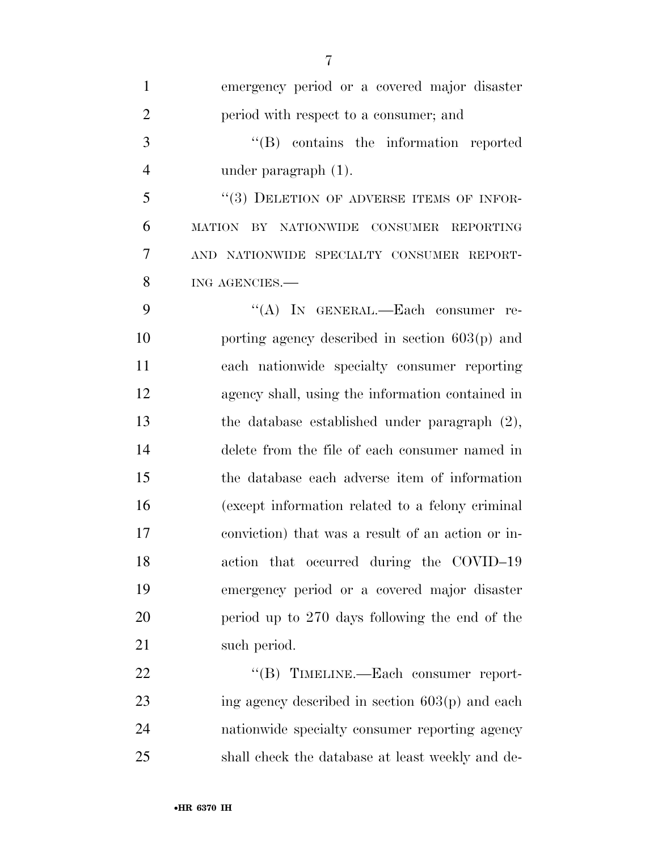| $\mathbf{1}$   | emergency period or a covered major disaster      |
|----------------|---------------------------------------------------|
| $\overline{2}$ | period with respect to a consumer; and            |
| 3              | $\lq\lq$ contains the information reported        |
| 4              | under paragraph $(1)$ .                           |
| 5              | "(3) DELETION OF ADVERSE ITEMS OF INFOR-          |
| 6              | MATION BY NATIONWIDE<br>CONSUMER REPORTING        |
| 7              | AND NATIONWIDE SPECIALTY CONSUMER REPORT-         |
| 8              | ING AGENCIES.                                     |
| 9              | "(A) IN GENERAL.—Each consumer re-                |
| 10             | porting agency described in section $603(p)$ and  |
| 11             | each nationwide specialty consumer reporting      |
| 12             | agency shall, using the information contained in  |
| 13             | the database established under paragraph $(2)$ ,  |
| 14             | delete from the file of each consumer named in    |
| 15             | the database each adverse item of information     |
| 16             | (except information related to a felony criminal  |
| 17             | conviction) that was a result of an action or in- |
| 18             | action that occurred during the COVID-19          |
| 19             | emergency period or a covered major disaster      |
| 20             | period up to 270 days following the end of the    |
| 21             | such period.                                      |
| 22             | "(B) TIMELINE.—Each consumer report-              |
| 23             | ing agency described in section $603(p)$ and each |
| 24             | nationwide specialty consumer reporting agency    |
| 25             | shall check the database at least weekly and de-  |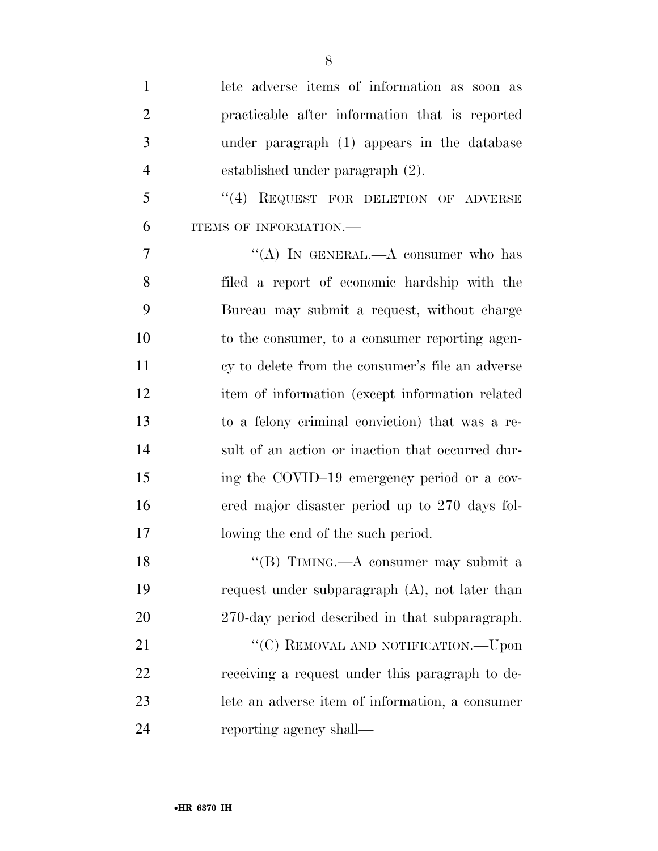| $\mathbf{1}$   | lete adverse items of information as soon as      |
|----------------|---------------------------------------------------|
| $\overline{2}$ | practicable after information that is reported    |
| 3              | under paragraph (1) appears in the database       |
| $\overline{4}$ | established under paragraph (2).                  |
| 5              | "(4) REQUEST FOR DELETION OF ADVERSE              |
| 6              | ITEMS OF INFORMATION.-                            |
| 7              | "(A) IN GENERAL.—A consumer who has               |
| 8              | filed a report of economic hardship with the      |
| 9              | Bureau may submit a request, without charge       |
| 10             | to the consumer, to a consumer reporting agen-    |
| 11             | cy to delete from the consumer's file an adverse  |
| 12             | item of information (except information related   |
| 13             | to a felony criminal conviction) that was a re-   |
| 14             | sult of an action or inaction that occurred dur-  |
| 15             | ing the COVID-19 emergency period or a cov-       |
| 16             | ered major disaster period up to 270 days fol-    |
| 17             | lowing the end of the such period.                |
| 18             | "(B) TIMING.—A consumer may submit a              |
| 19             | request under subparagraph $(A)$ , not later than |
| 20             | 270-day period described in that subparagraph.    |
| 21             | "(C) REMOVAL AND NOTIFICATION.—Upon               |
| 22             | receiving a request under this paragraph to de-   |
| 23             | lete an adverse item of information, a consumer   |
| 24             | reporting agency shall—                           |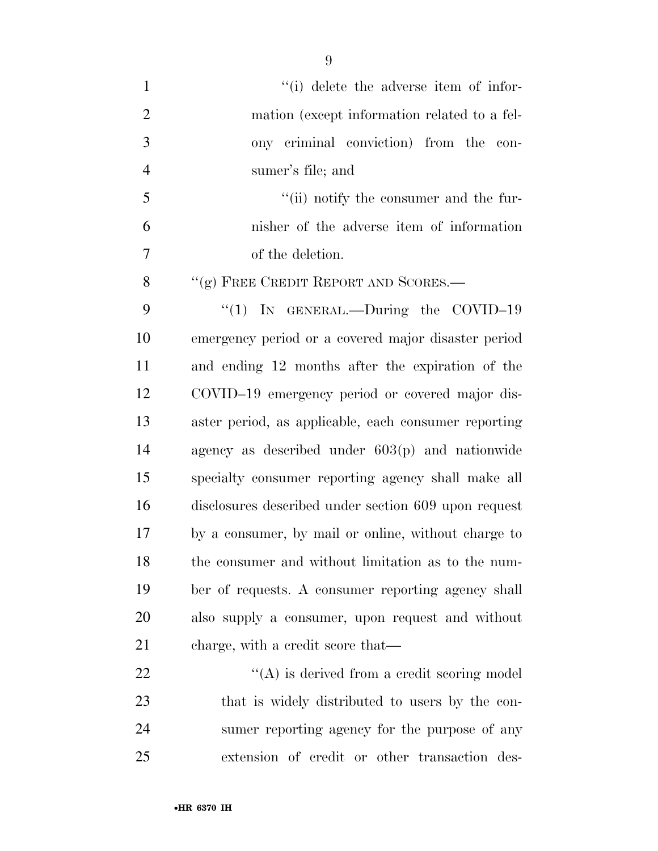$\frac{1}{10}$  delete the adverse item of infor- mation (except information related to a fel- ony criminal conviction) from the con- sumer's file; and ''(ii) notify the consumer and the fur- nisher of the adverse item of information of the deletion. 8 "(g) FREE CREDIT REPORT AND SCORES.— 9 "(1) In GENERAL.—During the COVID-19 emergency period or a covered major disaster period and ending 12 months after the expiration of the COVID–19 emergency period or covered major dis- aster period, as applicable, each consumer reporting agency as described under 603(p) and nationwide specialty consumer reporting agency shall make all disclosures described under section 609 upon request by a consumer, by mail or online, without charge to the consumer and without limitation as to the num- ber of requests. A consumer reporting agency shall also supply a consumer, upon request and without

 charge, with a credit score that—  $\langle (A) \rangle$  is derived from a credit scoring model that is widely distributed to users by the con- sumer reporting agency for the purpose of any extension of credit or other transaction des-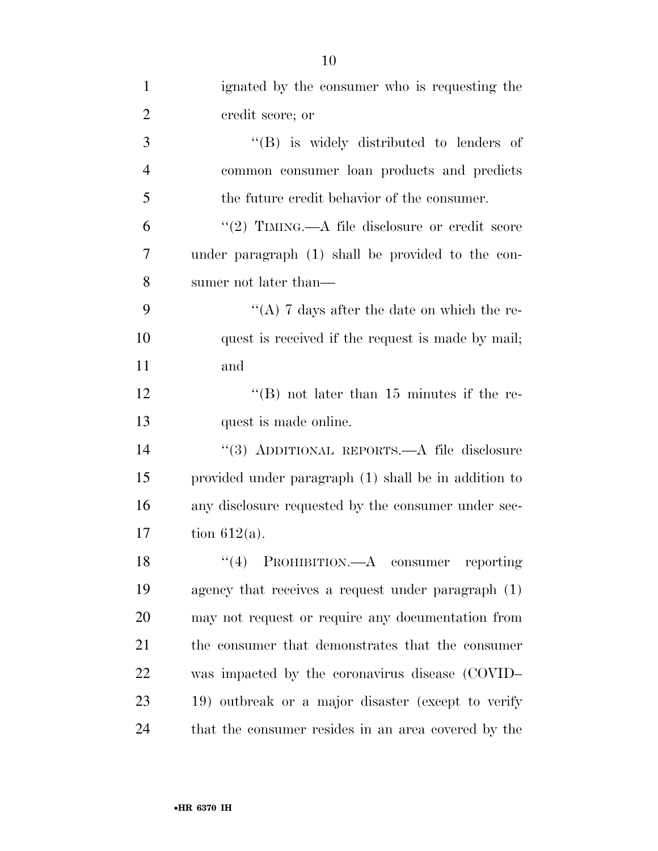| $\mathbf{1}$   | ignated by the consumer who is requesting the        |
|----------------|------------------------------------------------------|
| $\overline{2}$ | credit score; or                                     |
| 3              | $\lq\lq$ is widely distributed to lenders of         |
| $\overline{4}$ | common consumer loan products and predicts           |
| 5              | the future credit behavior of the consumer.          |
| 6              | "(2) TIMING.—A file disclosure or credit score       |
| 7              | under paragraph (1) shall be provided to the con-    |
| 8              | sumer not later than—                                |
| 9              | "(A) 7 days after the date on which the re-          |
| 10             | quest is received if the request is made by mail;    |
| 11             | and                                                  |
| 12             | "(B) not later than $15$ minutes if the re-          |
| 13             | quest is made online.                                |
| 14             | "(3) ADDITIONAL REPORTS.—A file disclosure           |
| 15             | provided under paragraph (1) shall be in addition to |
| 16             | any disclosure requested by the consumer under sec-  |
| 17             | tion $612(a)$ .                                      |
| 18             | PROHIBITION.—A consumer reporting<br>(4)             |
| 19             | agency that receives a request under paragraph $(1)$ |
| 20             | may not request or require any documentation from    |
| 21             | the consumer that demonstrates that the consumer     |
| 22             | was impacted by the coronavirus disease (COVID-      |
| 23             | 19) outbreak or a major disaster (except to verify   |
| 24             | that the consumer resides in an area covered by the  |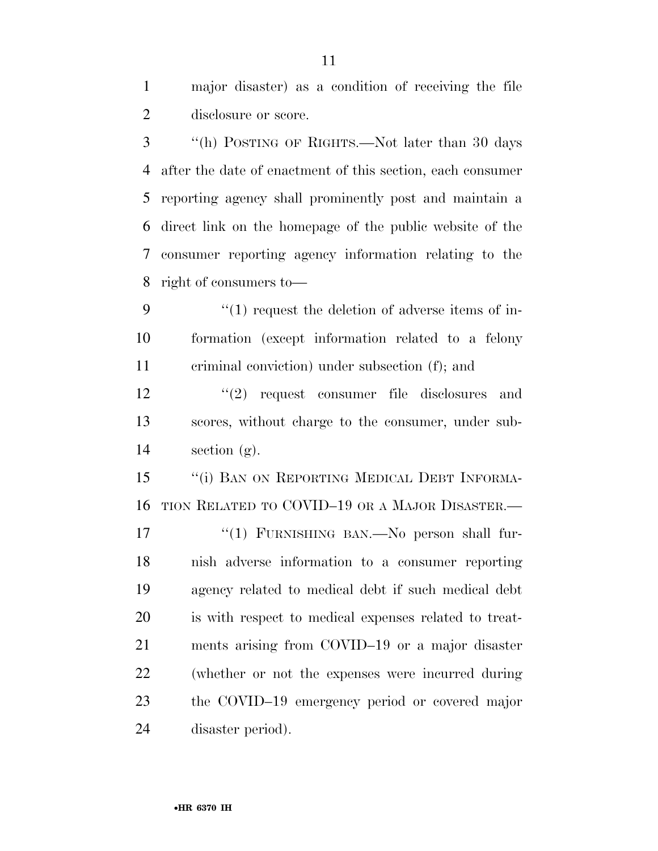major disaster) as a condition of receiving the file disclosure or score.

 ''(h) POSTING OF RIGHTS.—Not later than 30 days after the date of enactment of this section, each consumer reporting agency shall prominently post and maintain a direct link on the homepage of the public website of the consumer reporting agency information relating to the right of consumers to—

9  $\frac{1}{1}$  request the deletion of adverse items of in- formation (except information related to a felony criminal conviction) under subsection (f); and

12 ''(2) request consumer file disclosures and scores, without charge to the consumer, under sub-14 section  $(g)$ .

15 "(i) BAN ON REPORTING MEDICAL DEBT INFORMA-TION RELATED TO COVID–19 OR A MAJOR DISASTER.—

17 "(1) FURNISHING BAN.—No person shall fur- nish adverse information to a consumer reporting agency related to medical debt if such medical debt is with respect to medical expenses related to treat- ments arising from COVID–19 or a major disaster (whether or not the expenses were incurred during the COVID–19 emergency period or covered major disaster period).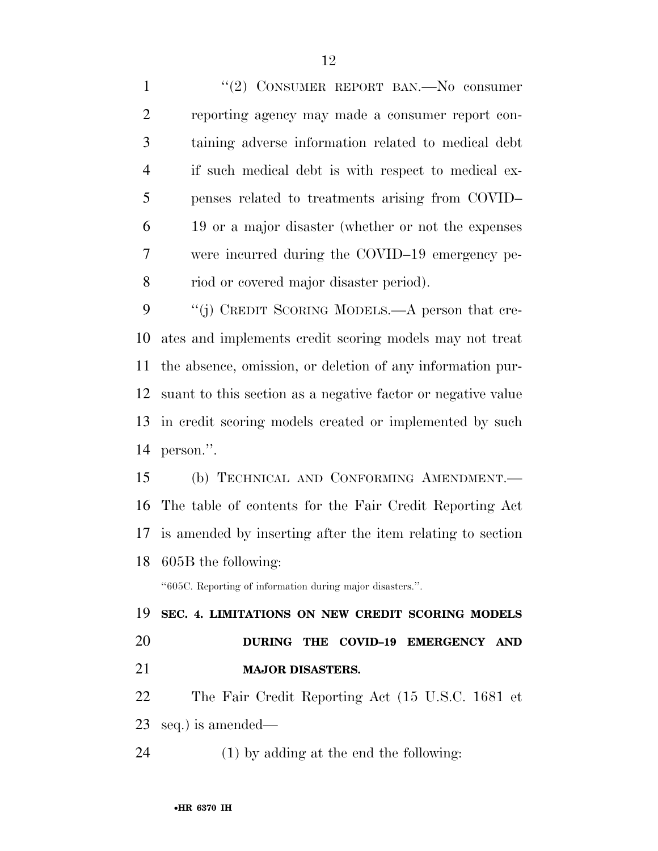1 "(2) CONSUMER REPORT BAN.—No consumer reporting agency may made a consumer report con- taining adverse information related to medical debt if such medical debt is with respect to medical ex- penses related to treatments arising from COVID– 19 or a major disaster (whether or not the expenses were incurred during the COVID–19 emergency pe-riod or covered major disaster period).

9 "(j) CREDIT SCORING MODELS.—A person that cre- ates and implements credit scoring models may not treat the absence, omission, or deletion of any information pur- suant to this section as a negative factor or negative value in credit scoring models created or implemented by such person.''.

 (b) TECHNICAL AND CONFORMING AMENDMENT.— The table of contents for the Fair Credit Reporting Act is amended by inserting after the item relating to section 605B the following:

''605C. Reporting of information during major disasters.''.

 **SEC. 4. LIMITATIONS ON NEW CREDIT SCORING MODELS DURING THE COVID–19 EMERGENCY AND MAJOR DISASTERS.** 

 The Fair Credit Reporting Act (15 U.S.C. 1681 et seq.) is amended—

(1) by adding at the end the following: